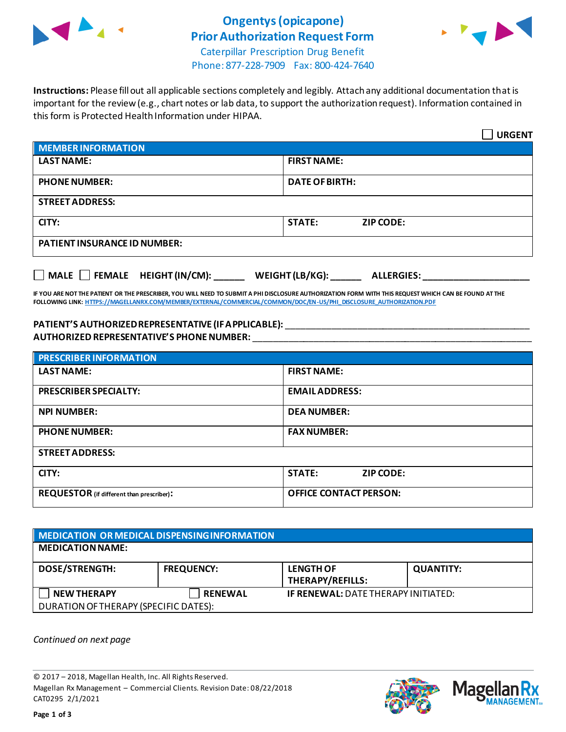

## **Ongentys(opicapone) Prior Authorization Request Form**



Caterpillar Prescription Drug Benefit Phone: 877-228-7909 Fax: 800-424-7640

**Instructions:** Please fill out all applicable sections completely and legibly. Attach any additional documentation that is important for the review (e.g., chart notes or lab data, to support the authorization request). Information contained in this form is Protected Health Information under HIPAA.

|                                                                                   | <b>URGENT</b>                     |  |  |
|-----------------------------------------------------------------------------------|-----------------------------------|--|--|
| <b>MEMBER INFORMATION</b>                                                         |                                   |  |  |
| <b>LAST NAME:</b>                                                                 | <b>FIRST NAME:</b>                |  |  |
| <b>PHONE NUMBER:</b>                                                              | <b>DATE OF BIRTH:</b>             |  |  |
| <b>STREET ADDRESS:</b>                                                            |                                   |  |  |
| CITY:                                                                             | <b>STATE:</b><br><b>ZIP CODE:</b> |  |  |
| <b>PATIENT INSURANCE ID NUMBER:</b>                                               |                                   |  |  |
| $\Box$ MALE $\Box$ FEMALE HEIGHT (IN/CM):<br>WEIGHT (LB/KG):<br><b>ALLERGIES:</b> |                                   |  |  |

**IF YOU ARE NOT THE PATIENT OR THE PRESCRIBER, YOU WILL NEED TO SUBMIT A PHI DISCLOSURE AUTHORIZATION FORM WITH THIS REQUEST WHICH CAN BE FOUND AT THE FOLLOWING LINK[: HTTPS://MAGELLANRX.COM/MEMBER/EXTERNAL/COMMERCIAL/COMMON/DOC/EN-US/PHI\\_DISCLOSURE\\_AUTHORIZATION.PDF](https://magellanrx.com/member/external/commercial/common/doc/en-us/PHI_Disclosure_Authorization.pdf)**

### **PATIENT'S AUTHORIZED REPRESENTATIVE (IF APPLICABLE):** \_\_\_\_\_\_\_\_\_\_\_\_\_\_\_\_\_\_\_\_\_\_\_\_\_\_\_\_\_\_\_\_\_\_\_\_\_\_\_\_\_\_\_\_\_\_\_\_ **AUTHORIZED REPRESENTATIVE'S PHONE NUMBER:** \_\_\_\_\_\_\_\_\_\_\_\_\_\_\_\_\_\_\_\_\_\_\_\_\_\_\_\_\_\_\_\_\_\_\_\_\_\_\_\_\_\_\_\_\_\_\_\_\_\_\_\_\_\_\_

| <b>PRESCRIBER INFORMATION</b>             |                                   |  |  |
|-------------------------------------------|-----------------------------------|--|--|
| <b>LAST NAME:</b>                         | <b>FIRST NAME:</b>                |  |  |
| <b>PRESCRIBER SPECIALTY:</b>              | <b>EMAIL ADDRESS:</b>             |  |  |
| <b>NPI NUMBER:</b>                        | <b>DEA NUMBER:</b>                |  |  |
| <b>PHONE NUMBER:</b>                      | <b>FAX NUMBER:</b>                |  |  |
| <b>STREET ADDRESS:</b>                    |                                   |  |  |
| CITY:                                     | <b>STATE:</b><br><b>ZIP CODE:</b> |  |  |
| REQUESTOR (if different than prescriber): | <b>OFFICE CONTACT PERSON:</b>     |  |  |

| MEDICATION OR MEDICAL DISPENSING INFORMATION |                   |                                             |                  |  |  |
|----------------------------------------------|-------------------|---------------------------------------------|------------------|--|--|
| <b>MEDICATION NAME:</b>                      |                   |                                             |                  |  |  |
| <b>DOSE/STRENGTH:</b>                        | <b>FREQUENCY:</b> | <b>LENGTH OF</b><br><b>THERAPY/REFILLS:</b> | <b>QUANTITY:</b> |  |  |
| <b>NEW THERAPY</b>                           | <b>RENEWAL</b>    | <b>IF RENEWAL: DATE THERAPY INITIATED:</b>  |                  |  |  |
| DURATION OF THERAPY (SPECIFIC DATES):        |                   |                                             |                  |  |  |

*Continued on next page*

© 2017 – 2018, Magellan Health, Inc. All Rights Reserved. Magellan Rx Management – Commercial Clients. Revision Date: 08/22/2018 CAT0295 2/1/2021



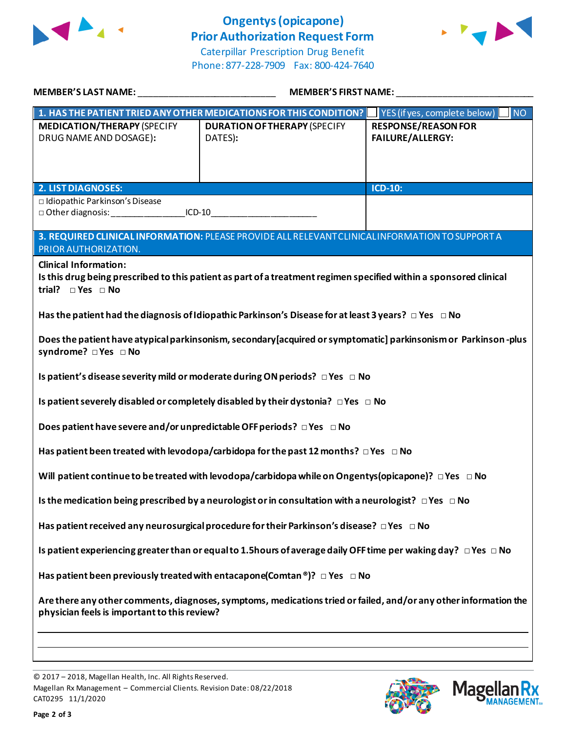

# **Ongentys (opicapone) Prior Authorization Request Form**





| <b>MEMBER'S LAST NAME:</b>                                                                                                                                                                                                                                                    | <b>MEMBER'S FIRST NAME:</b>                                                  |                                                         |  |  |
|-------------------------------------------------------------------------------------------------------------------------------------------------------------------------------------------------------------------------------------------------------------------------------|------------------------------------------------------------------------------|---------------------------------------------------------|--|--|
|                                                                                                                                                                                                                                                                               | 1. HAS THE PATIENT TRIED ANY OTHER MEDICATIONS FOR THIS CONDITION?           | $\overline{\mathsf{N}}$<br>YES (if yes, complete below) |  |  |
| <b>MEDICATION/THERAPY (SPECIFY</b><br>DRUG NAME AND DOSAGE):                                                                                                                                                                                                                  | <b>DURATION OF THERAPY (SPECIFY</b><br>DATES):                               | <b>RESPONSE/REASON FOR</b><br><b>FAILURE/ALLERGY:</b>   |  |  |
| <b>2. LIST DIAGNOSES:</b>                                                                                                                                                                                                                                                     |                                                                              | $ICD-10$ :                                              |  |  |
| □ Idiopathic Parkinson's Disease                                                                                                                                                                                                                                              |                                                                              |                                                         |  |  |
| $ICD-10$                                                                                                                                                                                                                                                                      |                                                                              |                                                         |  |  |
| 3. REQUIRED CLINICAL INFORMATION: PLEASE PROVIDE ALL RELEVANT CLINICAL INFORMATION TO SUPPORT A<br>PRIOR AUTHORIZATION.<br><b>Clinical Information:</b><br>Is this drug being prescribed to this patient as part of a treatment regimen specified within a sponsored clinical |                                                                              |                                                         |  |  |
| trial? $\square$ Yes $\square$ No                                                                                                                                                                                                                                             |                                                                              |                                                         |  |  |
| Has the patient had the diagnosis of Idiopathic Parkinson's Disease for at least 3 years? $\Box$ Yes $\Box$ No                                                                                                                                                                |                                                                              |                                                         |  |  |
| Does the patient have atypical parkinsonism, secondary [acquired or symptomatic] parkinsonism or Parkinson-plus<br>syndrome? □ Yes □ No                                                                                                                                       |                                                                              |                                                         |  |  |
|                                                                                                                                                                                                                                                                               | Is patient's disease severity mild or moderate during ON periods? □ Yes □ No |                                                         |  |  |
| Is patient severely disabled or completely disabled by their dystonia? $\Box$ Yes $\Box$ No                                                                                                                                                                                   |                                                                              |                                                         |  |  |
| Does patient have severe and/or unpredictable OFF periods? $\Box$ Yes $\Box$ No                                                                                                                                                                                               |                                                                              |                                                         |  |  |
| Has patient been treated with levodopa/carbidopa for the past 12 months? $\Box$ Yes $\Box$ No                                                                                                                                                                                 |                                                                              |                                                         |  |  |
| Will patient continue to be treated with levodopa/carbidopa while on Ongentys (opicapone)? $\Box$ Yes $\Box$ No                                                                                                                                                               |                                                                              |                                                         |  |  |
| Is the medication being prescribed by a neurologist or in consultation with a neurologist? $\Box$ Yes $\Box$ No                                                                                                                                                               |                                                                              |                                                         |  |  |
| Has patient received any neurosurgical procedure for their Parkinson's disease? $\Box$ Yes $\Box$ No                                                                                                                                                                          |                                                                              |                                                         |  |  |
| Is patient experiencing greater than or equal to 1.5 hours of average daily OFF time per waking day? $\Box$ Yes $\Box$ No                                                                                                                                                     |                                                                              |                                                         |  |  |
| Has patient been previously treated with entacapone(Comtan ®)? $\Box$ Yes $\Box$ No                                                                                                                                                                                           |                                                                              |                                                         |  |  |
| Are there any other comments, diagnoses, symptoms, medications tried or failed, and/or any other information the<br>physician feels is important to this review?                                                                                                              |                                                                              |                                                         |  |  |
|                                                                                                                                                                                                                                                                               |                                                                              |                                                         |  |  |